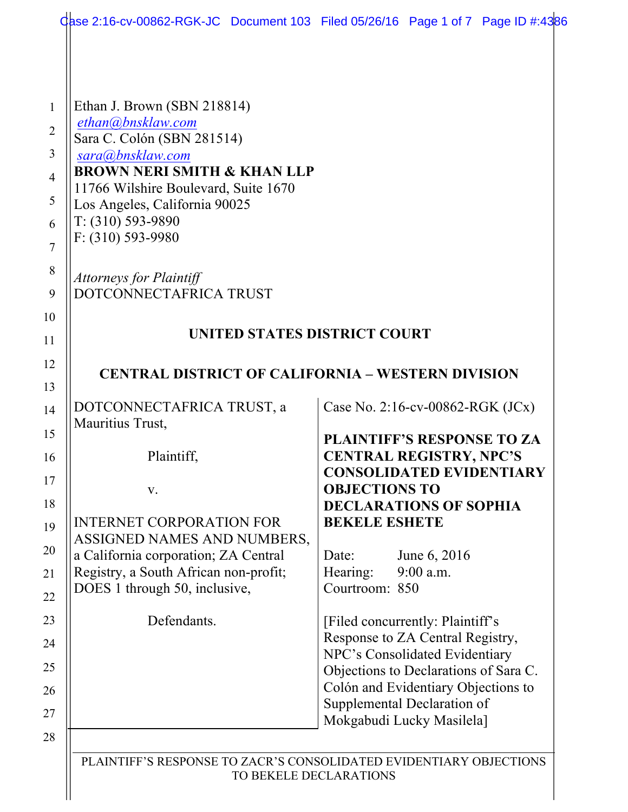|                                                                                | dase 2:16-cv-00862-RGK-JC Document 103 Filed 05/26/16 Page 1 of 7 Page ID #:4386 |
|--------------------------------------------------------------------------------|----------------------------------------------------------------------------------|
|                                                                                |                                                                                  |
| Ethan J. Brown (SBN 218814)<br>ethan@bnsklaw.com                               |                                                                                  |
| Sara C. Colón (SBN 281514)                                                     |                                                                                  |
| sara@bnsklaw.com                                                               |                                                                                  |
| <b>BROWN NERI SMITH &amp; KHAN LLP</b><br>11766 Wilshire Boulevard, Suite 1670 |                                                                                  |
| Los Angeles, California 90025                                                  |                                                                                  |
| $T: (310) 593-9890$                                                            |                                                                                  |
| F: (310) 593-9980                                                              |                                                                                  |
| <b>Attorneys for Plaintiff</b>                                                 |                                                                                  |
| DOTCONNECTAFRICA TRUST                                                         |                                                                                  |
|                                                                                |                                                                                  |
| UNITED STATES DISTRICT COURT                                                   |                                                                                  |
|                                                                                |                                                                                  |
| <b>CENTRAL DISTRICT OF CALIFORNIA - WESTERN DIVISION</b>                       |                                                                                  |
| DOTCONNECTAFRICA TRUST, a                                                      | Case No. 2:16-cv-00862-RGK $(JCx)$                                               |
| Mauritius Trust,                                                               |                                                                                  |
| Plaintiff,                                                                     | PLAINTIFF'S RESPONSE TO ZA<br><b>CENTRAL REGISTRY, NPC'S</b>                     |
|                                                                                | <b>CONSOLIDATED EVIDENTIARY</b>                                                  |
| V.                                                                             | <b>OBJECTIONS TO</b>                                                             |
| <b>INTERNET CORPORATION FOR</b>                                                | <b>DECLARATIONS OF SOPHIA</b><br><b>BEKELE ESHETE</b>                            |
| ASSIGNED NAMES AND NUMBERS,                                                    |                                                                                  |
| a California corporation; ZA Central                                           | June 6, 2016<br>Date:                                                            |
| Registry, a South African non-profit;<br>DOES 1 through 50, inclusive,         | 9:00 a.m.<br>Hearing:<br>Courtroom: 850                                          |
|                                                                                |                                                                                  |
| Defendants.                                                                    | [Filed concurrently: Plaintiff's                                                 |
|                                                                                | Response to ZA Central Registry,<br>NPC's Consolidated Evidentiary               |
|                                                                                | Objections to Declarations of Sara C.                                            |
|                                                                                | Colón and Evidentiary Objections to                                              |
|                                                                                | Supplemental Declaration of<br>Mokgabudi Lucky Masilela]                         |
|                                                                                |                                                                                  |
|                                                                                |                                                                                  |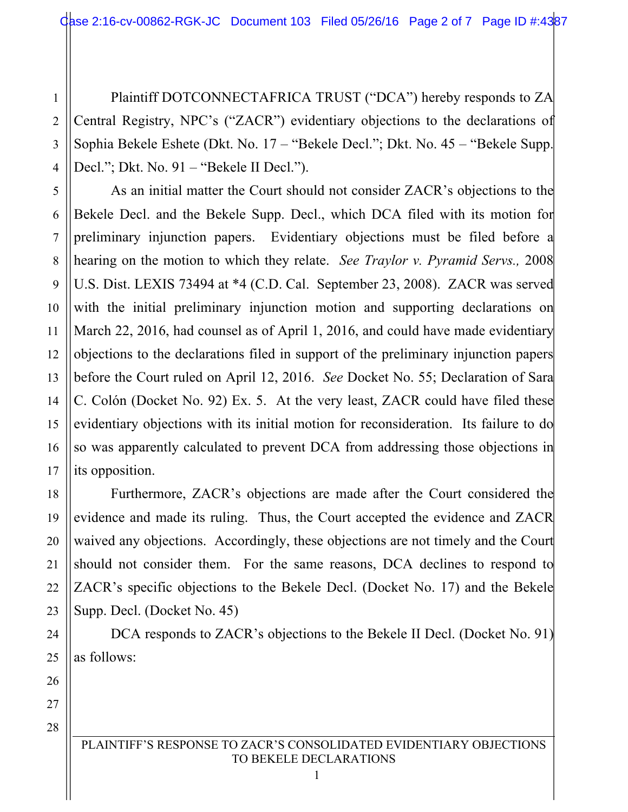2 3 4 Plaintiff DOTCONNECTAFRICA TRUST ("DCA") hereby responds to ZA Central Registry, NPC's ("ZACR") evidentiary objections to the declarations of Sophia Bekele Eshete (Dkt. No. 17 – "Bekele Decl."; Dkt. No. 45 – "Bekele Supp. Decl."; Dkt. No. 91 – "Bekele II Decl.").

As an initial matter the Court should not consider ZACR's objections to the Bekele Decl. and the Bekele Supp. Decl., which DCA filed with its motion for preliminary injunction papers. Evidentiary objections must be filed before a hearing on the motion to which they relate. *See Traylor v. Pyramid Servs.,* 2008 U.S. Dist. LEXIS 73494 at \*4 (C.D. Cal. September 23, 2008). ZACR was served with the initial preliminary injunction motion and supporting declarations on March 22, 2016, had counsel as of April 1, 2016, and could have made evidentiary objections to the declarations filed in support of the preliminary injunction papers before the Court ruled on April 12, 2016. *See* Docket No. 55; Declaration of Sara C. Colón (Docket No. 92) Ex. 5. At the very least, ZACR could have filed these evidentiary objections with its initial motion for reconsideration. Its failure to do so was apparently calculated to prevent DCA from addressing those objections in its opposition.

Furthermore, ZACR's objections are made after the Court considered the evidence and made its ruling. Thus, the Court accepted the evidence and ZACR waived any objections. Accordingly, these objections are not timely and the Court should not consider them. For the same reasons, DCA declines to respond to ZACR's specific objections to the Bekele Decl. (Docket No. 17) and the Bekele Supp. Decl. (Docket No. 45)

DCA responds to ZACR's objections to the Bekele II Decl. (Docket No. 91) as follows:

27 28

1

5

6

7

8

9

10

11

12

13

14

15

16

17

18

19

20

21

22

23

24

25

26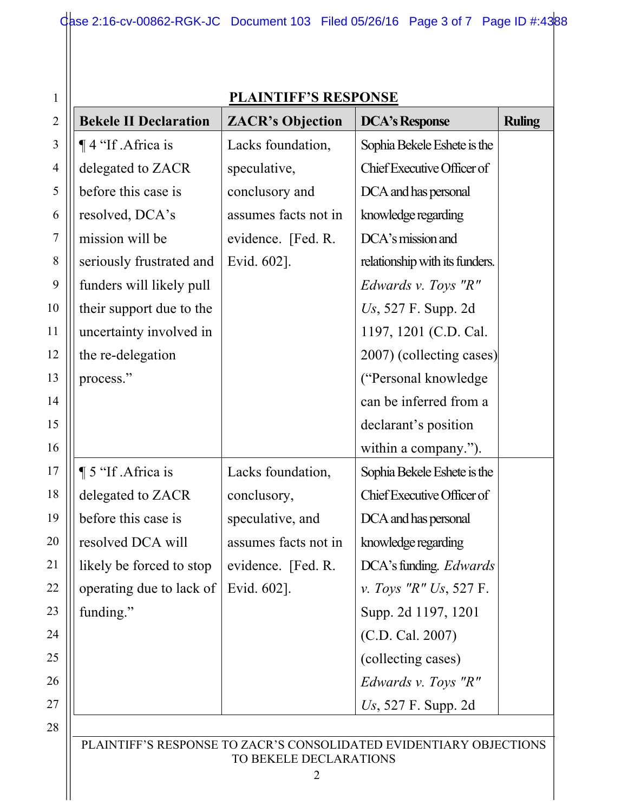| $\mathbf{1}$   |                                              | <b>PLAINTIFF'S RESPONSE</b> |                                                                    |               |
|----------------|----------------------------------------------|-----------------------------|--------------------------------------------------------------------|---------------|
| $\overline{2}$ | <b>Bekele II Declaration</b>                 | <b>ZACR's Objection</b>     | <b>DCA's Response</b>                                              | <b>Ruling</b> |
| 3              | $\P$ 4 "If . Africa is                       | Lacks foundation,           | Sophia Bekele Eshete is the                                        |               |
| $\overline{4}$ | delegated to ZACR                            | speculative,                | Chief Executive Officer of                                         |               |
| 5              | before this case is                          | conclusory and              | DCA and has personal                                               |               |
| 6              | resolved, DCA's                              | assumes facts not in        | knowledge regarding                                                |               |
| 7              | mission will be                              | evidence. [Fed. R.          | DCA's mission and                                                  |               |
| 8              | seriously frustrated and                     | Evid. 602].                 | relationship with its funders.                                     |               |
| 9              | funders will likely pull                     |                             | <i>Edwards v. Toys "R"</i>                                         |               |
| 10             | their support due to the                     |                             | Us, $527$ F. Supp. 2d                                              |               |
| 11             | uncertainty involved in                      |                             | 1197, 1201 (C.D. Cal.                                              |               |
| 12             | the re-delegation                            |                             | 2007) (collecting cases)                                           |               |
| 13             | process."                                    |                             | ("Personal knowledge")                                             |               |
| 14             |                                              |                             | can be inferred from a                                             |               |
| 15             |                                              |                             | declarant's position                                               |               |
| 16             |                                              |                             | within a company.").                                               |               |
| 17             | 15 "If Africa is                             | Lacks foundation,           | Sophia Bekele Eshete is the                                        |               |
| 18             | delegated to ZACR                            | conclusory,                 | Chief Executive Officer of                                         |               |
| 19             | before this case is                          | speculative, and            | DCA and has personal                                               |               |
| 20             | resolved DCA will                            | assumes facts not in        | knowledge regarding                                                |               |
| 21             | likely be forced to stop                     | evidence. [Fed. R.          | DCA's funding. Edwards                                             |               |
| 22             | operating due to lack of $\vert$ Evid. 602]. |                             | <i>v. Toys "R" Us, 527 F.</i>                                      |               |
| 23             | funding."                                    |                             | Supp. 2d 1197, 1201                                                |               |
| 24             |                                              |                             | (C.D. Cal. 2007)                                                   |               |
| 25             |                                              |                             | (collecting cases)                                                 |               |
| 26             |                                              |                             | Edwards v. Toys "R"                                                |               |
| 27             |                                              |                             | $Us$ , 527 F. Supp. 2d                                             |               |
| 28             |                                              |                             |                                                                    |               |
|                |                                              | TO BEKELE DECLARATIONS      | PLAINTIFF'S RESPONSE TO ZACR'S CONSOLIDATED EVIDENTIARY OBJECTIONS |               |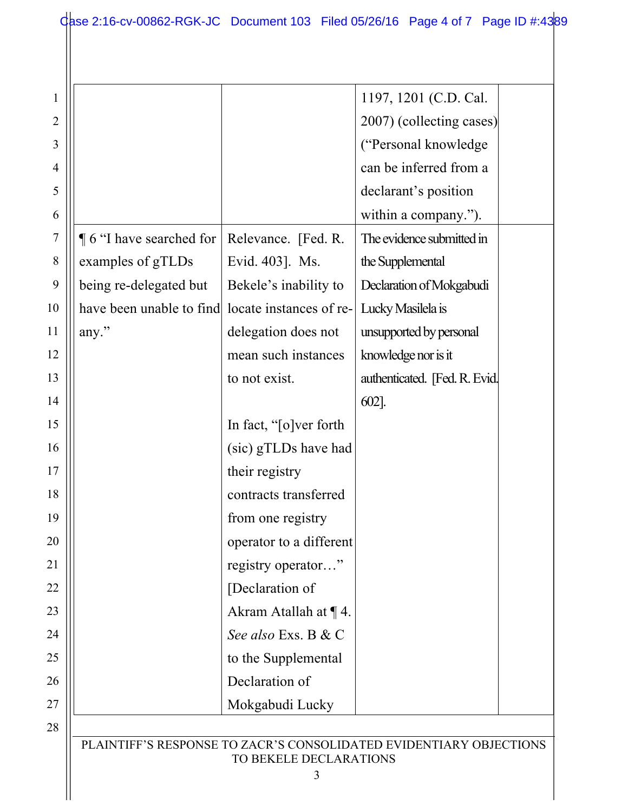$\mathbf{\mathsf{H}}$ 

| 1              |                             |                         | 1197, 1201 (C.D. Cal.                                              |
|----------------|-----------------------------|-------------------------|--------------------------------------------------------------------|
| $\overline{2}$ |                             |                         | 2007) (collecting cases)                                           |
| 3              |                             |                         | ("Personal knowledge"                                              |
| 4              |                             |                         | can be inferred from a                                             |
| 5              |                             |                         | declarant's position                                               |
| 6              |                             |                         | within a company.").                                               |
| 7              | $\P$ 6 "I have searched for | Relevance. [Fed. R.     | The evidence submitted in                                          |
| 8              | examples of gTLDs           | Evid. 403]. Ms.         | the Supplemental                                                   |
| 9              | being re-delegated but      | Bekele's inability to   | Declaration of Mokgabudi                                           |
| 10             | have been unable to find    | locate instances of re- | Lucky Masilela is                                                  |
| 11             | any."                       | delegation does not     | unsupported by personal                                            |
| 12             |                             | mean such instances     | knowledge nor is it                                                |
| 13             |                             | to not exist.           | authenticated. [Fed. R. Evid.]                                     |
| 14             |                             |                         | $602$ ].                                                           |
| 15             |                             | In fact, "[o]ver forth  |                                                                    |
| 16             |                             | (sic) gTLDs have had    |                                                                    |
| 17             |                             | their registry          |                                                                    |
| 18             |                             | contracts transferred   |                                                                    |
| 19             |                             | from one registry       |                                                                    |
| 20             |                             | operator to a different |                                                                    |
| 21             |                             | registry operator"      |                                                                    |
| 22             |                             | [Declaration of         |                                                                    |
| 23             |                             | Akram Atallah at ¶4.    |                                                                    |
| 24             |                             | See also Exs. B & C     |                                                                    |
| 25             |                             | to the Supplemental     |                                                                    |
| 26             |                             | Declaration of          |                                                                    |
| 27             |                             | Mokgabudi Lucky         |                                                                    |
| 28             |                             |                         |                                                                    |
|                |                             | TO BEKELE DECLARATIONS  | PLAINTIFF'S RESPONSE TO ZACR'S CONSOLIDATED EVIDENTIARY OBJECTIONS |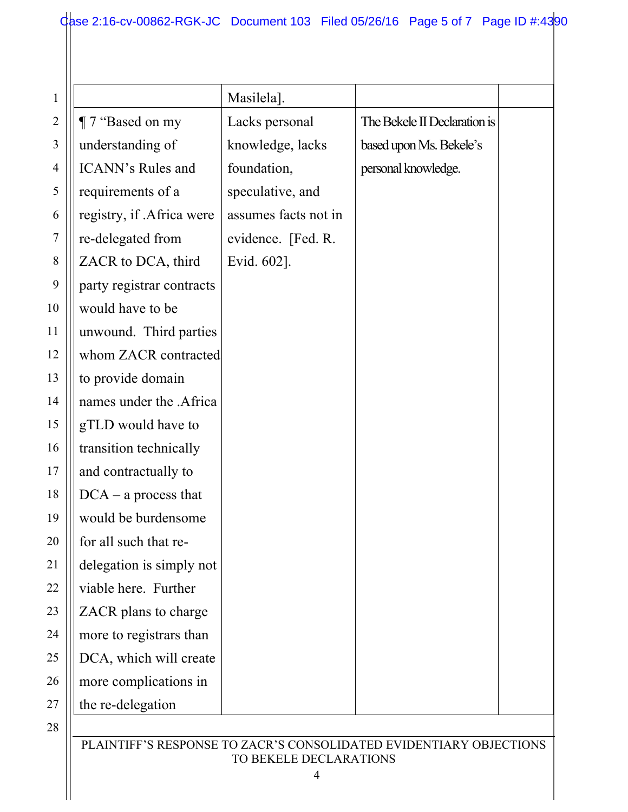|                           | Masilela].           |                              |
|---------------------------|----------------------|------------------------------|
| ¶ 7 "Based on my          | Lacks personal       | The Bekele II Declaration is |
| understanding of          | knowledge, lacks     | based upon Ms. Bekele's      |
| <b>ICANN's Rules and</b>  | foundation,          | personal knowledge.          |
| requirements of a         | speculative, and     |                              |
| registry, if .Africa were | assumes facts not in |                              |
| re-delegated from         | evidence. [Fed. R.   |                              |
| ZACR to DCA, third        | Evid. 602].          |                              |
| party registrar contracts |                      |                              |
| would have to be          |                      |                              |
| unwound. Third parties    |                      |                              |
| whom ZACR contracted      |                      |                              |
| to provide domain         |                      |                              |
| names under the .Africa   |                      |                              |
| gTLD would have to        |                      |                              |
| transition technically    |                      |                              |
| and contractually to      |                      |                              |
| $DCA - a$ process that    |                      |                              |
| would be burdensome       |                      |                              |
| for all such that re-     |                      |                              |
| delegation is simply not  |                      |                              |
| viable here. Further      |                      |                              |
| ZACR plans to charge      |                      |                              |
| more to registrars than   |                      |                              |
| DCA, which will create    |                      |                              |
| more complications in     |                      |                              |
| the re-delegation         |                      |                              |

28

## PLAINTIFF'S RESPONSE TO ZACR'S CONSOLIDATED EVIDENTIARY OBJECTIONS TO BEKELE DECLARATIONS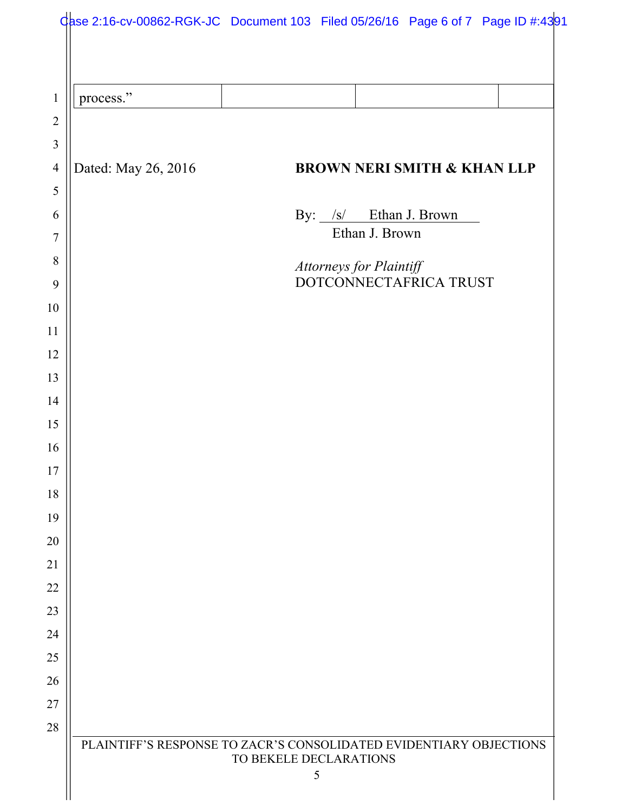| process."           |                                          |
|---------------------|------------------------------------------|
|                     |                                          |
|                     |                                          |
| Dated: May 26, 2016 | <b>BROWN NERI SMITH &amp; KHAN LLP</b>   |
|                     |                                          |
|                     | By: /s/ Ethan J. Brown<br>Ethan J. Brown |
|                     | Attorneys for Plaintiff                  |
|                     | DOTCONNECTAFRICA TRUST                   |
|                     |                                          |
|                     |                                          |
|                     |                                          |
|                     |                                          |
|                     |                                          |
|                     |                                          |
|                     |                                          |
|                     |                                          |
|                     |                                          |
|                     |                                          |
|                     |                                          |
|                     |                                          |
|                     |                                          |
|                     |                                          |
|                     |                                          |
|                     |                                          |
|                     |                                          |
|                     |                                          |